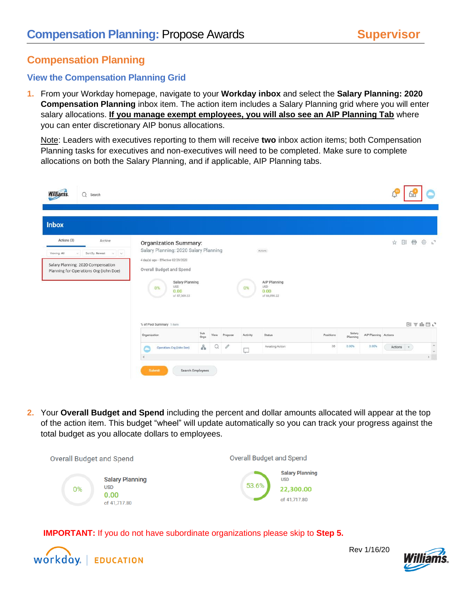# **Compensation Planning**

## **View the Compensation Planning Grid**

**1.** From your Workday homepage, navigate to your **Workday inbox** and select the **Salary Planning: 2020 Compensation Planning** inbox item. The action item includes a Salary Planning grid where you will enter salary allocations. **If you manage exempt employees, you will also see an AIP Planning Tab** where you can enter discretionary AIP bonus allocations.

Note: Leaders with executives reporting to them will receive **two** inbox action items; both Compensation Planning tasks for executives and non-executives will need to be completed. Make sure to complete allocations on both the Salary Planning, and if applicable, AIP Planning tabs.

| Williams.<br>$\Omega$<br>Search                                                                                                                         |                                                                                                                                                                                                                                     |             |      |         |          |                                                               |           |                    |                      |         | r             |                      |
|---------------------------------------------------------------------------------------------------------------------------------------------------------|-------------------------------------------------------------------------------------------------------------------------------------------------------------------------------------------------------------------------------------|-------------|------|---------|----------|---------------------------------------------------------------|-----------|--------------------|----------------------|---------|---------------|----------------------|
| <b>Inbox</b>                                                                                                                                            |                                                                                                                                                                                                                                     |             |      |         |          |                                                               |           |                    |                      |         |               |                      |
| Actions (3)<br>Archive<br>Viewing: All<br>Sort By: Newest<br>$v$ $\vee$<br>Salary Planning: 2020 Compensation<br>Planning for Operations Org (John Doe) | <b>Organization Summary:</b><br>Salary Planning: 2020 Salary Planning<br>4 day(s) ago - Effective 02/29/2020<br>Overall Budget and Spend<br>Salary Planning<br><b>USD</b><br>0%<br>0.00<br>of 87,569.23<br>% of Pool Summary 1 item |             |      |         | 0%       | Actions<br>AIP Planning<br><b>USD</b><br>0.00<br>of 66,898.22 |           |                    |                      |         |               | ☆ 団 骨 ※ 、"<br>图言咖里心  |
|                                                                                                                                                         | Organization                                                                                                                                                                                                                        | Sub<br>Orgs | View | Propose | Activity | <b>Status</b>                                                 | Positions | Salary<br>Planning | AIP Planning Actions |         |               |                      |
|                                                                                                                                                         | Operations Org (John Doe)                                                                                                                                                                                                           | å           | Q    | 0       | Ļ        | Awaiting Action                                               | 38        | 0.00%              | 0.00%                | Actions | $\mathcal{F}$ | $\frac{1}{\sqrt{2}}$ |
|                                                                                                                                                         | Search Employees<br>Submit                                                                                                                                                                                                          |             |      |         |          |                                                               |           |                    |                      |         |               |                      |

**2.** Your **Overall Budget and Spend** including the percent and dollar amounts allocated will appear at the top of the action item. This budget "wheel" will update automatically so you can track your progress against the total budget as you allocate dollars to employees.



 **IMPORTANT:** If you do not have subordinate organizations please skip to **Step 5.**



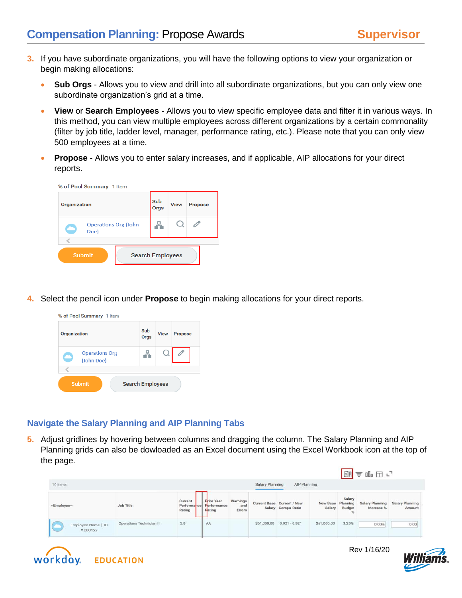- **3.** If you have subordinate organizations, you will have the following options to view your organization or begin making allocations:
	- **Sub Orgs** Allows you to view and drill into all subordinate organizations, but you can only view one subordinate organization's grid at a time.
	- **View** or **Search Employees** Allows you to view specific employee data and filter it in various ways. In this method, you can view multiple employees across different organizations by a certain commonality (filter by job title, ladder level, manager, performance rating, etc.). Please note that you can only view 500 employees at a time.
	- **Propose** Allows you to enter salary increases, and if applicable, AIP allocations for your direct reports.

| % of Pool Summary 1 item            |                         |             |                |  |
|-------------------------------------|-------------------------|-------------|----------------|--|
| <b>Organization</b>                 | Sub<br>Orgs             | <b>View</b> | <b>Propose</b> |  |
| <b>Operations Org (John</b><br>Doe) |                         |             |                |  |
| <b>Submit</b>                       | <b>Search Employees</b> |             |                |  |

**4.** Select the pencil icon under **Propose** to begin making allocations for your direct reports.

| % of Pool Summary 1 item            |                         |             |                |
|-------------------------------------|-------------------------|-------------|----------------|
| Organization                        | Sub<br><b>Orgs</b>      | <b>View</b> | <b>Propose</b> |
| <b>Operations Org</b><br>(John Doe) |                         |             |                |
| <b>Submit</b>                       | <b>Search Employees</b> |             |                |

### **Navigate the Salary Planning and AIP Planning Tabs**

**5.** Adjust gridlines by hovering between columns and dragging the column. The Salary Planning and AIP Planning grids can also be dowloaded as an Excel document using the Excel Workbook icon at the top of the page.

|                               |                          |                   |                                                        |                           |             |                                                  |                    |                                   | 图言咖里口                         |                           |  |  |
|-------------------------------|--------------------------|-------------------|--------------------------------------------------------|---------------------------|-------------|--------------------------------------------------|--------------------|-----------------------------------|-------------------------------|---------------------------|--|--|
| 10 items<br>2010/02/20        |                          |                   |                                                        |                           |             | <b>Salary Planning</b><br>AIP Planning           |                    |                                   |                               |                           |  |  |
| ~Employee~                    | Job Title                | Current<br>Rating | <b>Frior Year</b><br>Performance Ferformance<br>Fating | Warnings<br>and<br>Errors |             | Current Base Current / New<br>Salary Compa-Ratio | New Base<br>Salary | Salary<br>Planning<br>Budget<br>% | Salary Planning<br>Increase % | Salary Planning<br>Amount |  |  |
| Employee Name   ID<br>#000455 | Operations Technician II | 3.8               | AA                                                     |                           | \$61,000.00 | $0.921 - 0.921$                                  | \$61,000.00        | 3.25%                             | 0.00%                         | 0.00                      |  |  |



Rev 1/16/20

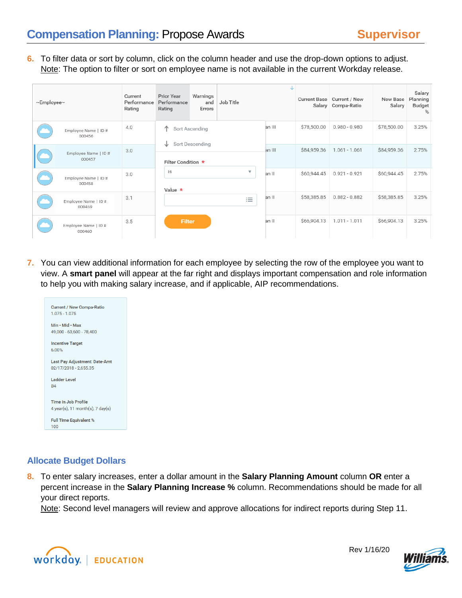**6.** To filter data or sort by column, click on the column header and use the drop-down options to adjust. Note: The option to filter or sort on employee name is not available in the current Workday release.

| $\sim$ Employee $\sim$ |                                | Current<br>Performance<br>Rating | <b>Prior Year</b><br>Performance<br>Rating | Warnings<br>and<br>Errors         | Job Title | J      |             | Current Base Current / New<br>Salary Compa-Ratio | New Base<br>Salary | Salary<br>Planning<br>Budget<br>% |
|------------------------|--------------------------------|----------------------------------|--------------------------------------------|-----------------------------------|-----------|--------|-------------|--------------------------------------------------|--------------------|-----------------------------------|
|                        | Employee Name   ID#<br>000456  | 4.0                              | 个<br>◡                                     | Sort Ascending<br>Sort Descending |           | an III | \$78,500.00 | $0.980 - 0.980$                                  | \$78,500.00        | 3.25%                             |
|                        | Employee Name   ID#<br>000457  | 3.0                              | Filter Condition *                         |                                   |           | an III | \$84,959.36 | $1.061 - 1.061$                                  | \$84,959.36        | 2.75%                             |
|                        | Employee Name   ID#<br>000458  | 3.0                              | is<br>Value $\star$                        |                                   | ▼         | an II  | \$60,944.45 | $0.921 - 0.921$                                  | \$60,944.45        | 2.75%                             |
|                        | Employee Name   ID#<br>000459  | 3.1                              |                                            |                                   | $\equiv$  | an II  | \$58,385.85 | $0.882 - 0.882$                                  | \$58,385.85        | 3.25%                             |
|                        | Employee Name   ID #<br>000460 | 3.5                              | <b>Filter</b>                              |                                   |           | an II  | \$66,904.13 | $1.011 - 1.011$                                  | \$66,904.13        | 3.25%                             |

**7.** You can view additional information for each employee by selecting the row of the employee you want to view. A **smart panel** will appear at the far right and displays important compensation and role information to help you with making salary increase, and if applicable, AIP recommendations.



### **Allocate Budget Dollars**

**8.** To enter salary increases, enter a dollar amount in the **Salary Planning Amount** column **OR** enter a percent increase in the **Salary Planning Increase %** column. Recommendations should be made for all your direct reports.

Note: Second level managers will review and approve allocations for indirect reports during Step 11.



Rev 1/16/20

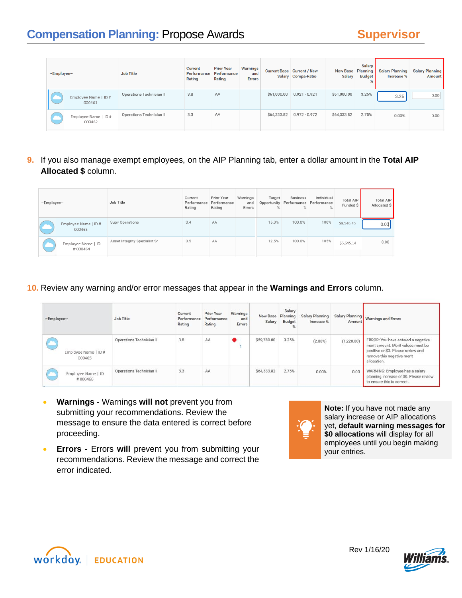| $\sim$ Employee $\sim$ |                                | <b>Job Title</b>         | <b>Current</b><br>Performance<br>Rating | <b>Prior Year</b><br>Performance<br>Rating | Warnings<br>and<br><b>Errors</b> | <b>Current Base Current / New</b><br>Salary Compa-Ratio | <b>New Base</b><br><b>Salary</b> | <b>Salary</b><br>Planning<br><b>Budget</b> | <b>Salary Planning</b><br>Increase % | Salary Planning<br>Amount |
|------------------------|--------------------------------|--------------------------|-----------------------------------------|--------------------------------------------|----------------------------------|---------------------------------------------------------|----------------------------------|--------------------------------------------|--------------------------------------|---------------------------|
|                        | Employee Name   ID#<br>000461  | Operations Technician II | 3.8                                     | AA                                         |                                  | \$61,000.00  0.921 - 0.921                              | \$61,000.00                      | 3.25%                                      | 3.25                                 | 0.00                      |
|                        | Employee Name   ID #<br>000462 | Operations Technician II | 3.3                                     | AA                                         |                                  | \$64,333.82  0.972 - 0.972                              | \$64,333.82                      | 2.75%                                      | 0.00%                                | 0.00                      |

**9.** If you also manage exempt employees, on the AIP Planning tab, enter a dollar amount in the **Total AIP Allocated \$** column.

| $\sim$ Employee $\sim$ |                                | Job Title                     | Current<br>Performance<br>Rating | Prior Year<br>Performance<br>Rating | Warnings<br>and<br>Errors | Target<br>% | <b>Business</b><br>Opportunity Performance Performance<br>% | Individual | <b>Total AIP</b><br>Funded \$ | <b>Total AIP</b><br>Allocated \$ |
|------------------------|--------------------------------|-------------------------------|----------------------------------|-------------------------------------|---------------------------|-------------|-------------------------------------------------------------|------------|-------------------------------|----------------------------------|
|                        | Employee Name   ID #<br>000463 | Supv Operations               | 3.4                              | AA                                  |                           | 15.0%       | 100.0%                                                      | 100%       | \$8,546.45                    | 0.00                             |
|                        | Employee Name   ID<br>#000464  | Asset Integrity Specialist Sr | 3.5                              | AA                                  |                           | 12.5%       | 100.0%                                                      | 105%       | \$5,645.14                    | 0.00                             |

**10.** Review any warning and/or error messages that appear in the **Warnings and Errors** column.

| ~Employee~                     | Job Title                | Current<br>Performance<br>Rating | <b>Prior Year</b><br>Performance<br>Rating | Warnings<br>and<br>Errors | New Base<br>Salary | Salary<br>Planning<br>Budget | Salary Planning<br>Increase % | Salary Planning<br>Amount | <b>Warnings and Errors</b>                                                                                                                                  |
|--------------------------------|--------------------------|----------------------------------|--------------------------------------------|---------------------------|--------------------|------------------------------|-------------------------------|---------------------------|-------------------------------------------------------------------------------------------------------------------------------------------------------------|
| Employee Name   ID #<br>000465 | Operations Technician II | 3.8                              | AA                                         |                           | \$59,780.00        | 3.25%                        | $(2.00\%)$                    | (1,220.00)                | ERROR: You have entered a negative<br>merit amount. Merit values must be<br>positive or \$0. Please review and<br>remove this negative merit<br>allocation. |
| Employee Name   ID<br>#000466  | Operations Technician II | 3.3                              | AA                                         |                           | \$64,333.82        | 2.75%                        | 0.00%                         | 0.00                      | WARNING: Employee has a salary<br>planning increase of \$0. Please review<br>to ensure this is correct.                                                     |

- **Warnings** Warnings **will not** prevent you from submitting your recommendations. Review the message to ensure the data entered is correct before proceeding.
- **Errors** Errors **will** prevent you from submitting your recommendations. Review the message and correct the error indicated.



**Note:** If you have not made any salary increase or AIP allocations yet, **default warning messages for \$0 allocations** will display for all employees until you begin making your entries.



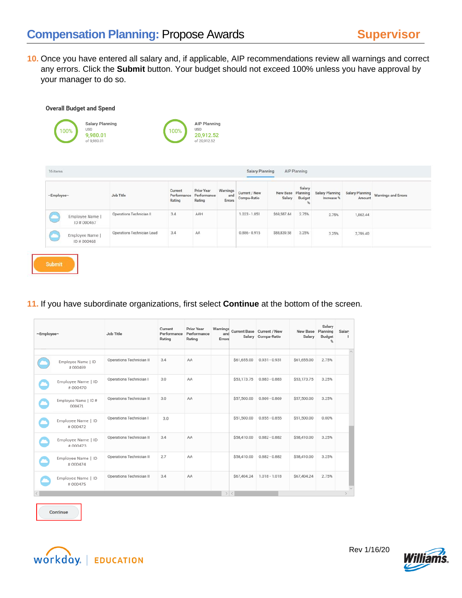**Overall Budget and Spend** 

**10.** Once you have entered all salary and, if applicable, AIP recommendations review all warnings and correct any errors. Click the **Submit** button. Your budget should not exceed 100% unless you have approval by your manager to do so.

|                            |                                  | of 20,912.52         |                           |                              |             |                                   |                               |          |                                     |
|----------------------------|----------------------------------|----------------------|---------------------------|------------------------------|-------------|-----------------------------------|-------------------------------|----------|-------------------------------------|
|                            |                                  |                      |                           |                              |             |                                   |                               |          |                                     |
| Job Title                  | Current<br>Performance<br>Rating | Prior Year<br>Rating | Warnings<br>and<br>Errors | Current / New<br>Compa-Ratio | Salary      | Salary<br>Planning<br>Budget<br>% | Salary Planning<br>Increase % | Amount   | Salary Planning Warnings and Errors |
| Operations Technician II   | 3.4                              | AAH                  |                           | $1.023 - 1.051$              | \$69,587.44 | 2.75%                             | 2.75%                         | 1,862.44 |                                     |
| Operations Technician Lead | 3.4                              | AA                   |                           | $0.886 - 0.915$              | \$88,839.58 | 3.25%                             | 3.25%                         | 2,796.40 |                                     |
|                            |                                  | 100%                 |                           | 20,912.52<br>Performance     |             | <b>Salary Planning</b>            | AIP Planning<br>New Base      |          |                                     |

**11.** If you have subordinate organizations, first select **Continue** at the bottom of the screen.

| ~Employee~ |                                          | Job Title                | Current<br>Performance<br>Rating | Prior Year<br>Performance<br>Rating | Warnings<br>and<br>Errors |             | Current Base Current / New<br>Salary Compa-Ratio | New Base<br>Salary | Salary<br>Planning<br><b>Budget</b><br>96 | Salar                   |
|------------|------------------------------------------|--------------------------|----------------------------------|-------------------------------------|---------------------------|-------------|--------------------------------------------------|--------------------|-------------------------------------------|-------------------------|
|            | Employee Name   ID                       | Operations Technician II | 3.4                              | AA                                  |                           | \$61,655.00 | $0.931 - 0.931$                                  | \$61,655.00        | 2.75%                                     | $\widehat{\phantom{a}}$ |
|            | #000469<br>Employee Name   ID<br>#000470 | Operations Technician I  | 3.0                              | AA                                  |                           | \$53,173.75 | $0.883 - 0.883$                                  | \$53,173.75        | 3.25%                                     |                         |
|            | Employee Name   ID#<br>000471            | Operations Technician II | 3.0                              | AA                                  |                           | \$57,500.00 | $0.869 - 0.869$                                  | \$57,500.00        | 3.25%                                     |                         |
|            | Employee Name   ID<br>#000472            | Operations Technician I  | 3.0                              |                                     |                           | \$51,500.00 | $0.855 - 0.855$                                  | \$51,500.00        | 0.00%                                     |                         |
|            | Employee Name   ID<br>#000473            | Operations Technician II | 3.4                              | AA                                  |                           | \$58,410.00 | $0.882 - 0.882$                                  | \$58,410.00        | 3.25%                                     |                         |
|            | Employee Name   ID<br>#000474            | Operations Technician II | 2.7                              | AA                                  |                           | \$58,410.00 | $0.882 - 0.882$                                  | \$58,410.00        | 3.25%                                     |                         |
|            | Employee Name   ID<br>#000475            | Operations Technician II | 3.4                              | AA                                  |                           | \$67,404.24 | $1.018 - 1.018$                                  | \$67,404.24        | 2.75%                                     |                         |
|            |                                          |                          |                                  |                                     |                           | $>$ <       |                                                  |                    |                                           |                         |





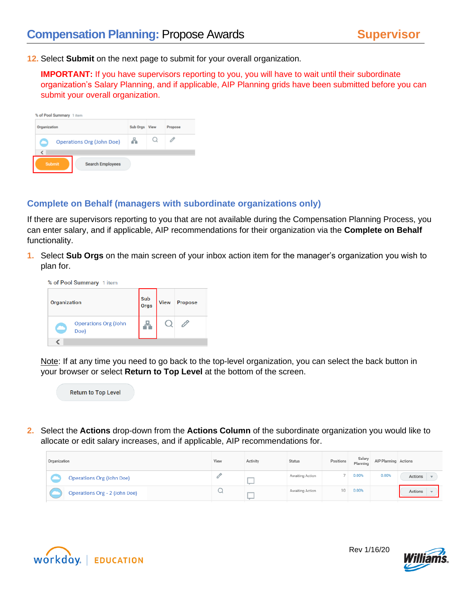**12.** Select **Submit** on the next page to submit for your overall organization.

**IMPORTANT:** If you have supervisors reporting to you, you will have to wait until their subordinate organization's Salary Planning, and if applicable, AIP Planning grids have been submitted before you can submit your overall organization.

| Organization                             | Sub Orgs | View | Propose |
|------------------------------------------|----------|------|---------|
| Operations Org (John Doe)                | ă        |      |         |
| K                                        |          |      |         |
| <b>Search Employees</b><br><b>Submit</b> |          |      |         |

#### **Complete on Behalf (managers with subordinate organizations only)**

If there are supervisors reporting to you that are not available during the Compensation Planning Process, you can enter salary, and if applicable, AIP recommendations for their organization via the **Complete on Behalf** functionality.

**1.** Select **Sub Orgs** on the main screen of your inbox action item for the manager's organization you wish to plan for.

| % of Pool Summary 1 item |                                     |             |             |         |  |  |  |  |
|--------------------------|-------------------------------------|-------------|-------------|---------|--|--|--|--|
| Organization             |                                     | Sub<br>Orgs | <b>View</b> | Propose |  |  |  |  |
|                          | <b>Operations Org (John</b><br>Doe) |             |             |         |  |  |  |  |
|                          |                                     |             |             |         |  |  |  |  |

Note: If at any time you need to go back to the top-level organization, you can select the back button in your browser or select **Return to Top Level** at the bottom of the screen.



**2.** Select the **Actions** drop-down from the **Actions Column** of the subordinate organization you would like to allocate or edit salary increases, and if applicable, AIP recommendations for.

| Organization                     | View       | Activity | Status          | Positions | Salary<br>Planning | AIP Planning Actions |         |
|----------------------------------|------------|----------|-----------------|-----------|--------------------|----------------------|---------|
| <b>Operations Org (John Doe)</b> |            |          | Awaiting Action |           | 0.00%              | 0.00%                | Actions |
| Operations Org - 2 (John Doe)    | $\tilde{}$ |          | Awaiting Action | 10        | 0.00%              |                      | Actions |



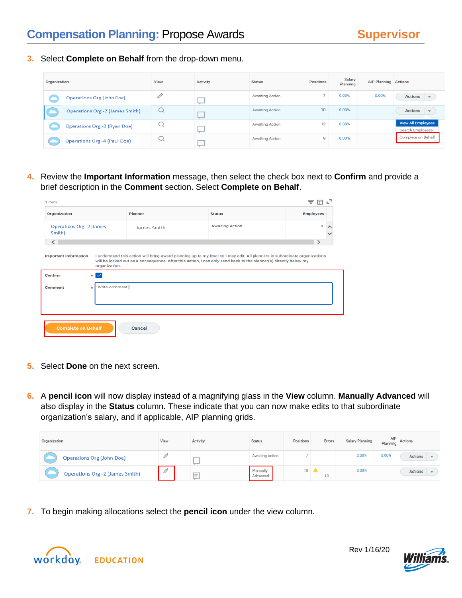**3.** Select **Complete on Behalf** from the drop-down menu.

| Organization |                                        | View | Activity | Status          | Positions      | Salary<br>Planning | AIP Planning Actions |                                               |
|--------------|----------------------------------------|------|----------|-----------------|----------------|--------------------|----------------------|-----------------------------------------------|
|              | <b>Operations Org (John Doe)</b>       | 0    |          | Awaiting Action | $\overline{7}$ | 0.00%              | 0.00%                | Actions<br>$\overline{\phantom{a}}$           |
|              | <b>Operations Org -2 (James Smith)</b> | Q    | _        | Awaiting Action | 10             | 0.00%              |                      | Actions                                       |
|              | Operations Org -3 (Ryan Doe)           | u    |          | Awaiting Action | 12             | 0.00%              |                      | <b>View All Employees</b><br>Search Employees |
|              | <b>Operations Org -4 (Paul Doe)</b>    | u    |          | Awaiting Action | 9              | 0.00%              |                      | Complete on Behalf                            |

**4.** Review the **Important Information** message, then select the check box next to **Confirm** and provide a brief description in the **Comment** section. Select **Complete on Behalf**.

| Organization                              |                          | Planner                                                                                                          | <b>Status</b>          | <b>Employees</b> |  |  |
|-------------------------------------------|--------------------------|------------------------------------------------------------------------------------------------------------------|------------------------|------------------|--|--|
| <b>Operations Org -2 (James</b><br>Smith) |                          | James Smith                                                                                                      | <b>Awaiting Action</b> |                  |  |  |
| $\overline{\phantom{a}}$                  |                          |                                                                                                                  |                        | $\rightarrow$    |  |  |
|                                           | organization.            | will be locked out as a consequence. After this action, I can only send back to the planner(s) directly below my |                        |                  |  |  |
|                                           |                          |                                                                                                                  |                        |                  |  |  |
|                                           | $\star \backsim$         |                                                                                                                  |                        |                  |  |  |
|                                           | Write comment<br>$\star$ |                                                                                                                  |                        |                  |  |  |
| Confirm<br>Comment                        |                          |                                                                                                                  |                        |                  |  |  |
|                                           |                          |                                                                                                                  |                        |                  |  |  |
|                                           |                          |                                                                                                                  |                        |                  |  |  |

- **5.** Select **Done** on the next screen.
- **6.** A **pencil icon** will now display instead of a magnifying glass in the **View** column. **Manually Advanced** will also display in the **Status** column. These indicate that you can now make edits to that subordinate organization's salary, and if applicable, AIP planning grids.

| Organization                           | View | Activity | <b>Status</b>        | Positions | Errors | Salary Planning | AIP<br>Planning | Actions |
|----------------------------------------|------|----------|----------------------|-----------|--------|-----------------|-----------------|---------|
| <b>Operations Org (John Doe)</b>       |      |          | Awaiting Action      |           |        | 0.00%           | 0.00%           | Actions |
| <b>Operations Org -2 (James Smith)</b> | 0    | $=$      | Manually<br>Advanced | 10        | 10     | 0.00%           |                 | Actions |

**7.** To begin making allocations select the **pencil icon** under the view column.